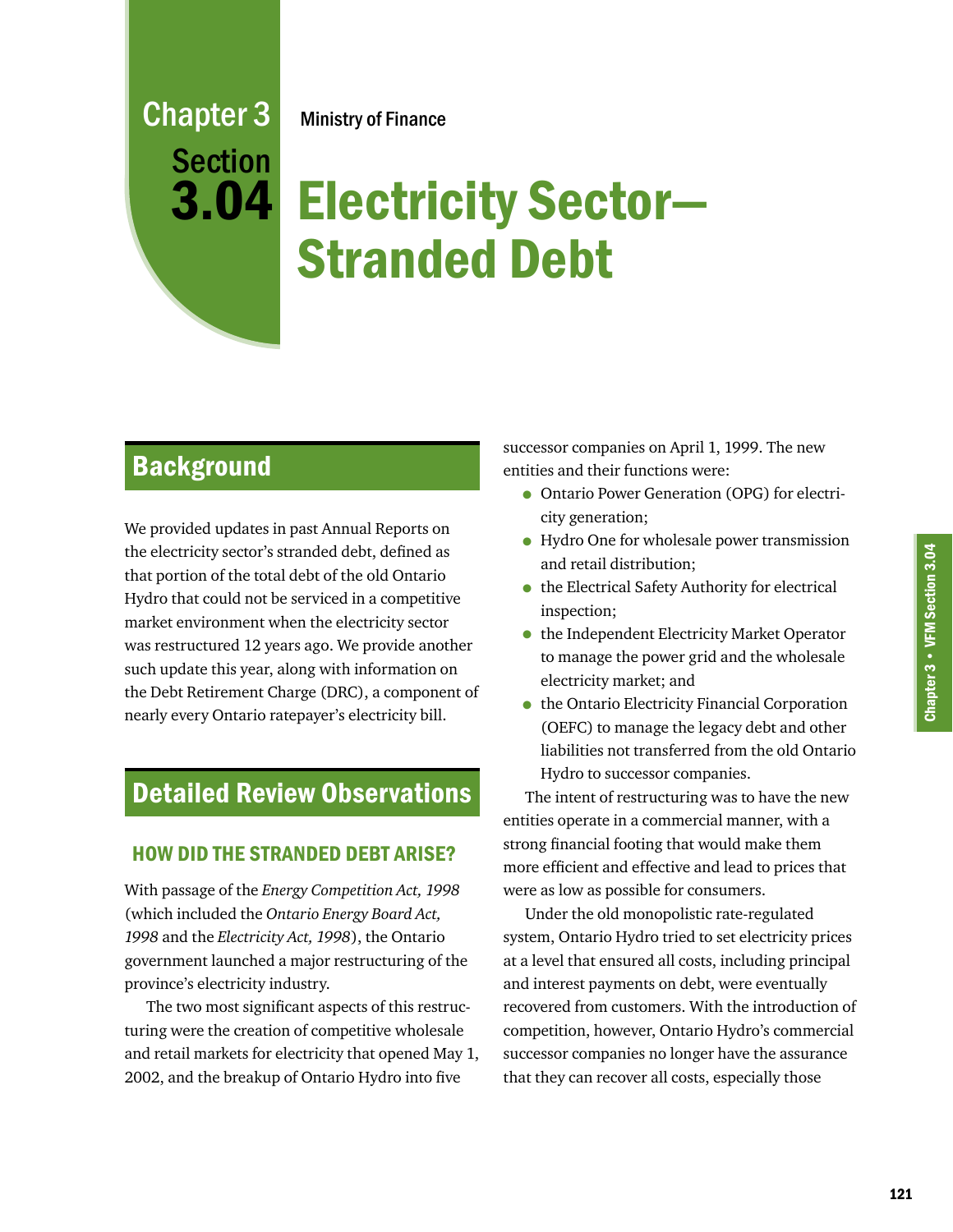# Electricity Sector— Stranded Debt

# **Background**

Chapter 3

Section

3.04

We provided updates in past Annual Reports on the electricity sector's stranded debt, defined as that portion of the total debt of the old Ontario Hydro that could not be serviced in a competitive market environment when the electricity sector was restructured 12 years ago. We provide another such update this year, along with information on the Debt Retirement Charge (DRC), a component of nearly every Ontario ratepayer's electricity bill.

# Detailed Review Observations

## HOW DID THE STRANDED DEBT ARISE?

With passage of the *Energy Competition Act, 1998* (which included the *Ontario Energy Board Act, 1998* and the *Electricity Act, 1998*), the Ontario government launched a major restructuring of the province's electricity industry.

The two most significant aspects of this restructuring were the creation of competitive wholesale and retail markets for electricity that opened May 1, 2002, and the breakup of Ontario Hydro into five

successor companies on April 1, 1999. The new entities and their functions were:

- Ontario Power Generation (OPG) for electricity generation;
- Hydro One for wholesale power transmission and retail distribution;
- the Electrical Safety Authority for electrical inspection;
- the Independent Electricity Market Operator to manage the power grid and the wholesale electricity market; and
- the Ontario Electricity Financial Corporation (OEFC) to manage the legacy debt and other liabilities not transferred from the old Ontario Hydro to successor companies.

The intent of restructuring was to have the new entities operate in a commercial manner, with a strong financial footing that would make them more efficient and effective and lead to prices that were as low as possible for consumers.

Under the old monopolistic rate-regulated system, Ontario Hydro tried to set electricity prices at a level that ensured all costs, including principal and interest payments on debt, were eventually recovered from customers. With the introduction of competition, however, Ontario Hydro's commercial successor companies no longer have the assurance that they can recover all costs, especially those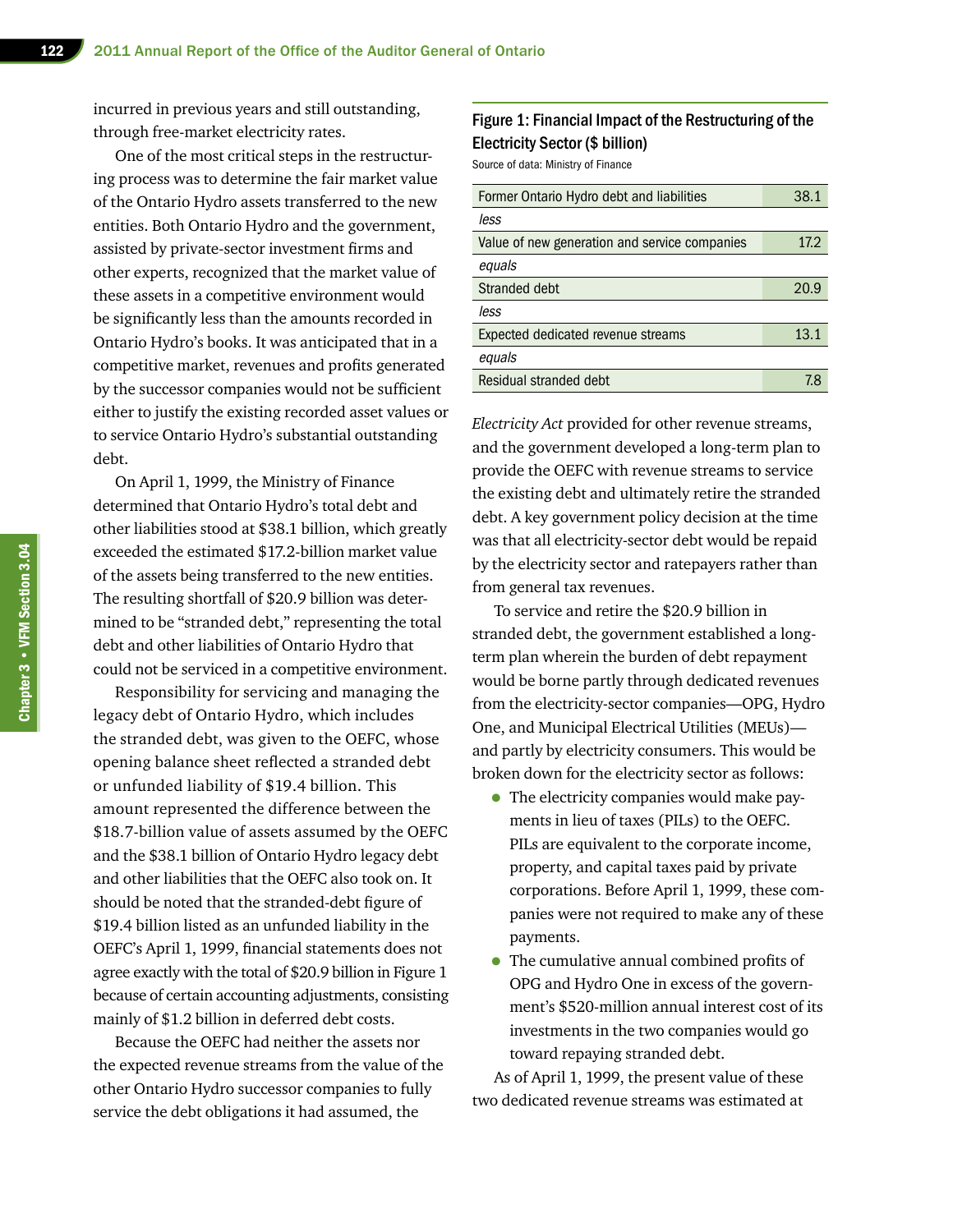incurred in previous years and still outstanding, through free-market electricity rates.

One of the most critical steps in the restructuring process was to determine the fair market value of the Ontario Hydro assets transferred to the new entities. Both Ontario Hydro and the government, assisted by private-sector investment firms and other experts, recognized that the market value of these assets in a competitive environment would be significantly less than the amounts recorded in Ontario Hydro's books. It was anticipated that in a competitive market, revenues and profits generated by the successor companies would not be sufficient either to justify the existing recorded asset values or to service Ontario Hydro's substantial outstanding debt.

On April 1, 1999, the Ministry of Finance determined that Ontario Hydro's total debt and other liabilities stood at \$38.1 billion, which greatly exceeded the estimated \$17.2-billion market value of the assets being transferred to the new entities. The resulting shortfall of \$20.9 billion was determined to be "stranded debt," representing the total debt and other liabilities of Ontario Hydro that could not be serviced in a competitive environment.

Responsibility for servicing and managing the legacy debt of Ontario Hydro, which includes the stranded debt, was given to the OEFC, whose opening balance sheet reflected a stranded debt or unfunded liability of \$19.4 billion. This amount represented the difference between the \$18.7-billion value of assets assumed by the OEFC and the \$38.1 billion of Ontario Hydro legacy debt and other liabilities that the OEFC also took on. It should be noted that the stranded-debt figure of \$19.4 billion listed as an unfunded liability in the OEFC's April 1, 1999, financial statements does not agree exactly with the total of \$20.9 billion in Figure 1 because of certain accounting adjustments, consisting mainly of \$1.2 billion in deferred debt costs.

Because the OEFC had neither the assets nor the expected revenue streams from the value of the other Ontario Hydro successor companies to fully service the debt obligations it had assumed, the

#### Figure 1: Financial Impact of the Restructuring of the Electricity Sector (\$ billion)

Source of data: Ministry of Finance

| less                                          |      |
|-----------------------------------------------|------|
| Value of new generation and service companies | 17.2 |
| equals                                        |      |
| Stranded debt<br>20.9                         |      |
| less                                          |      |
| 13.1<br>Expected dedicated revenue streams    |      |
| equals                                        |      |
| Residual stranded debt                        | 7.8  |

*Electricity Act* provided for other revenue streams, and the government developed a long-term plan to provide the OEFC with revenue streams to service the existing debt and ultimately retire the stranded debt. A key government policy decision at the time was that all electricity-sector debt would be repaid by the electricity sector and ratepayers rather than from general tax revenues.

To service and retire the \$20.9 billion in stranded debt, the government established a longterm plan wherein the burden of debt repayment would be borne partly through dedicated revenues from the electricity-sector companies—OPG, Hydro One, and Municipal Electrical Utilities (MEUs) and partly by electricity consumers. This would be broken down for the electricity sector as follows:

- The electricity companies would make payments in lieu of taxes (PILs) to the OEFC. PILs are equivalent to the corporate income, property, and capital taxes paid by private corporations. Before April 1, 1999, these companies were not required to make any of these payments.
- The cumulative annual combined profits of OPG and Hydro One in excess of the government's \$520-million annual interest cost of its investments in the two companies would go toward repaying stranded debt.

As of April 1, 1999, the present value of these two dedicated revenue streams was estimated at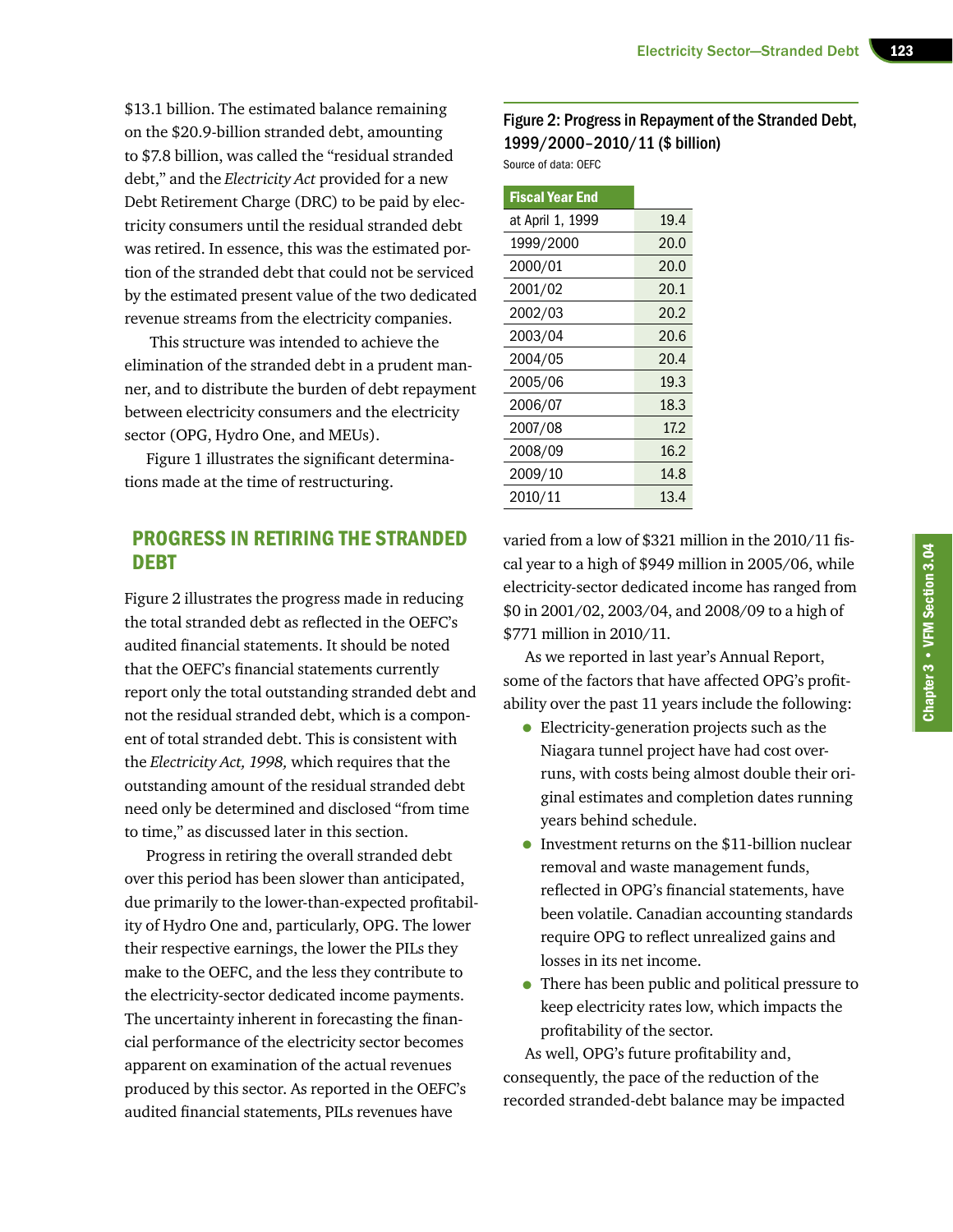\$13.1 billion. The estimated balance remaining on the \$20.9-billion stranded debt, amounting to \$7.8 billion, was called the "residual stranded debt," and the *Electricity Act* provided for a new Debt Retirement Charge (DRC) to be paid by electricity consumers until the residual stranded debt was retired. In essence, this was the estimated portion of the stranded debt that could not be serviced by the estimated present value of the two dedicated revenue streams from the electricity companies.

 This structure was intended to achieve the elimination of the stranded debt in a prudent manner, and to distribute the burden of debt repayment between electricity consumers and the electricity sector (OPG, Hydro One, and MEUs).

Figure 1 illustrates the significant determinations made at the time of restructuring.

#### PROGRESS IN RETIRING THE STRANDED DEBT

Figure 2 illustrates the progress made in reducing the total stranded debt as reflected in the OEFC's audited financial statements. It should be noted that the OEFC's financial statements currently report only the total outstanding stranded debt and not the residual stranded debt, which is a component of total stranded debt. This is consistent with the *Electricity Act, 1998,* which requires that the outstanding amount of the residual stranded debt need only be determined and disclosed "from time to time," as discussed later in this section.

Progress in retiring the overall stranded debt over this period has been slower than anticipated, due primarily to the lower-than-expected profitability of Hydro One and, particularly, OPG. The lower their respective earnings, the lower the PILs they make to the OEFC, and the less they contribute to the electricity-sector dedicated income payments. The uncertainty inherent in forecasting the financial performance of the electricity sector becomes apparent on examination of the actual revenues produced by this sector. As reported in the OEFC's audited financial statements, PILs revenues have

#### Figure 2: Progress in Repayment of the Stranded Debt, 1999/2000–2010/11 (\$ billion)

Source of data: OEFC

| <b>Fiscal Year End</b> |      |
|------------------------|------|
| at April 1, 1999       | 19.4 |
| 1999/2000              | 20.0 |
| 2000/01                | 20.0 |
| 2001/02                | 20.1 |
| 2002/03                | 20.2 |
| 2003/04                | 20.6 |
| 2004/05                | 20.4 |
| 2005/06                | 19.3 |
| 2006/07                | 18.3 |
| 2007/08                | 17.2 |
| 2008/09                | 16.2 |
| 2009/10                | 14.8 |
| 2010/11                | 13.4 |

varied from a low of \$321 million in the 2010/11 fiscal year to a high of \$949 million in 2005/06, while electricity-sector dedicated income has ranged from \$0 in 2001/02, 2003/04, and 2008/09 to a high of \$771 million in 2010/11.

As we reported in last year's Annual Report, some of the factors that have affected OPG's profitability over the past 11 years include the following:

- Electricity-generation projects such as the Niagara tunnel project have had cost overruns, with costs being almost double their original estimates and completion dates running years behind schedule.
- Investment returns on the \$11-billion nuclear removal and waste management funds, reflected in OPG's financial statements, have been volatile. Canadian accounting standards require OPG to reflect unrealized gains and losses in its net income.
- There has been public and political pressure to keep electricity rates low, which impacts the profitability of the sector.

As well, OPG's future profitability and, consequently, the pace of the reduction of the recorded stranded-debt balance may be impacted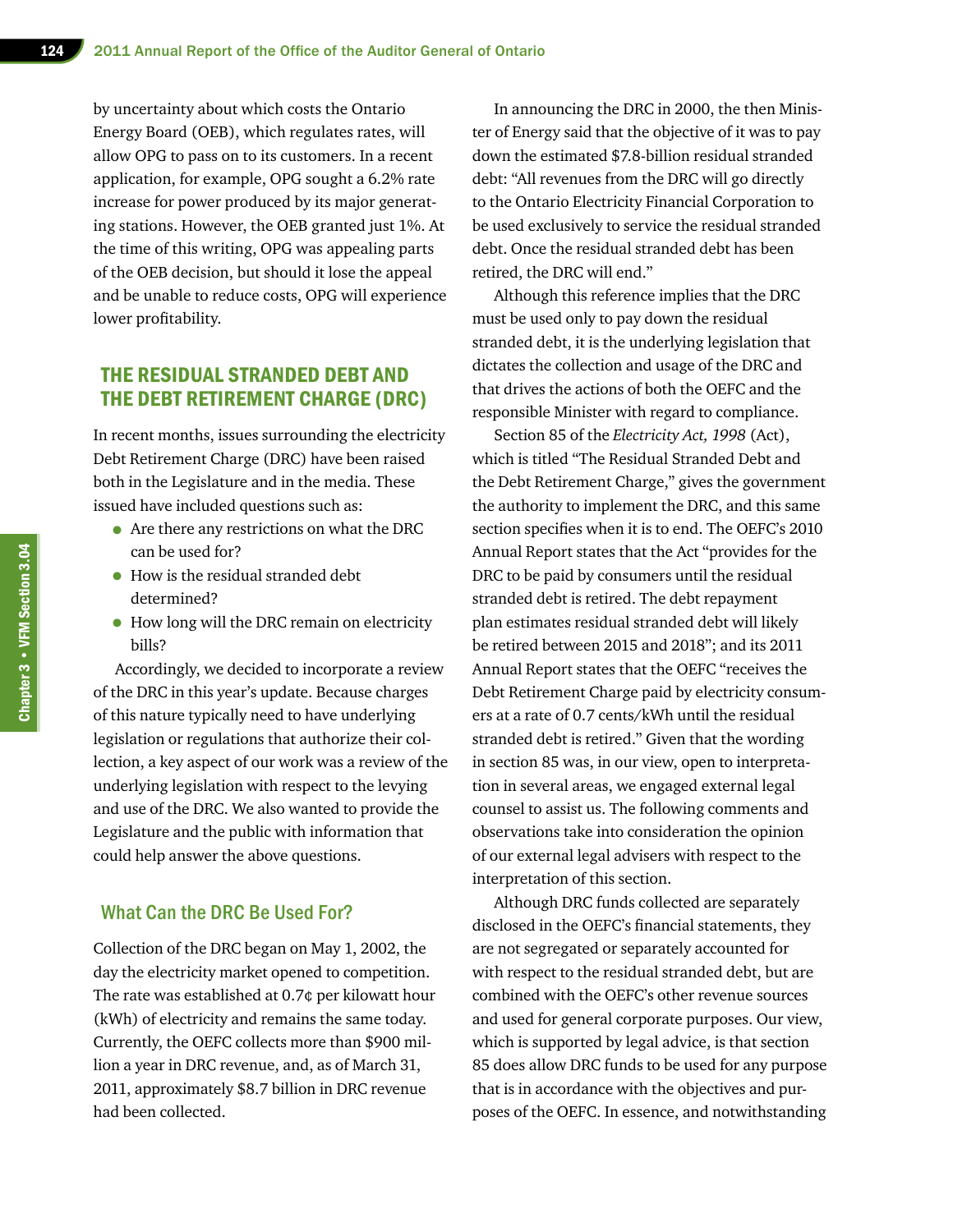by uncertainty about which costs the Ontario Energy Board (OEB), which regulates rates, will allow OPG to pass on to its customers. In a recent application, for example, OPG sought a 6.2% rate increase for power produced by its major generating stations. However, the OEB granted just 1%. At the time of this writing, OPG was appealing parts of the OEB decision, but should it lose the appeal and be unable to reduce costs, OPG will experience lower profitability.

#### THE RESIDUAL STRANDED DEBT AND THE DEBT RETIREMENT CHARGE (DRC)

In recent months, issues surrounding the electricity Debt Retirement Charge (DRC) have been raised both in the Legislature and in the media. These issued have included questions such as:

- Are there any restrictions on what the DRC can be used for?
- How is the residual stranded debt determined?
- How long will the DRC remain on electricity bills?

Accordingly, we decided to incorporate a review of the DRC in this year's update. Because charges of this nature typically need to have underlying legislation or regulations that authorize their collection, a key aspect of our work was a review of the underlying legislation with respect to the levying and use of the DRC. We also wanted to provide the Legislature and the public with information that could help answer the above questions.

#### What Can the DRC Be Used For?

Collection of the DRC began on May 1, 2002, the day the electricity market opened to competition. The rate was established at 0.7¢ per kilowatt hour (kWh) of electricity and remains the same today. Currently, the OEFC collects more than \$900 million a year in DRC revenue, and, as of March 31, 2011, approximately \$8.7 billion in DRC revenue had been collected.

In announcing the DRC in 2000, the then Minister of Energy said that the objective of it was to pay down the estimated \$7.8-billion residual stranded debt: "All revenues from the DRC will go directly to the Ontario Electricity Financial Corporation to be used exclusively to service the residual stranded debt. Once the residual stranded debt has been retired, the DRC will end."

Although this reference implies that the DRC must be used only to pay down the residual stranded debt, it is the underlying legislation that dictates the collection and usage of the DRC and that drives the actions of both the OEFC and the responsible Minister with regard to compliance.

Section 85 of the *Electricity Act, 1998* (Act), which is titled "The Residual Stranded Debt and the Debt Retirement Charge," gives the government the authority to implement the DRC, and this same section specifies when it is to end. The OEFC's 2010 Annual Report states that the Act "provides for the DRC to be paid by consumers until the residual stranded debt is retired. The debt repayment plan estimates residual stranded debt will likely be retired between 2015 and 2018"; and its 2011 Annual Report states that the OEFC "receives the Debt Retirement Charge paid by electricity consumers at a rate of 0.7 cents/kWh until the residual stranded debt is retired." Given that the wording in section 85 was, in our view, open to interpretation in several areas, we engaged external legal counsel to assist us. The following comments and observations take into consideration the opinion of our external legal advisers with respect to the interpretation of this section.

Although DRC funds collected are separately disclosed in the OEFC's financial statements, they are not segregated or separately accounted for with respect to the residual stranded debt, but are combined with the OEFC's other revenue sources and used for general corporate purposes. Our view, which is supported by legal advice, is that section 85 does allow DRC funds to be used for any purpose that is in accordance with the objectives and purposes of the OEFC. In essence, and notwithstanding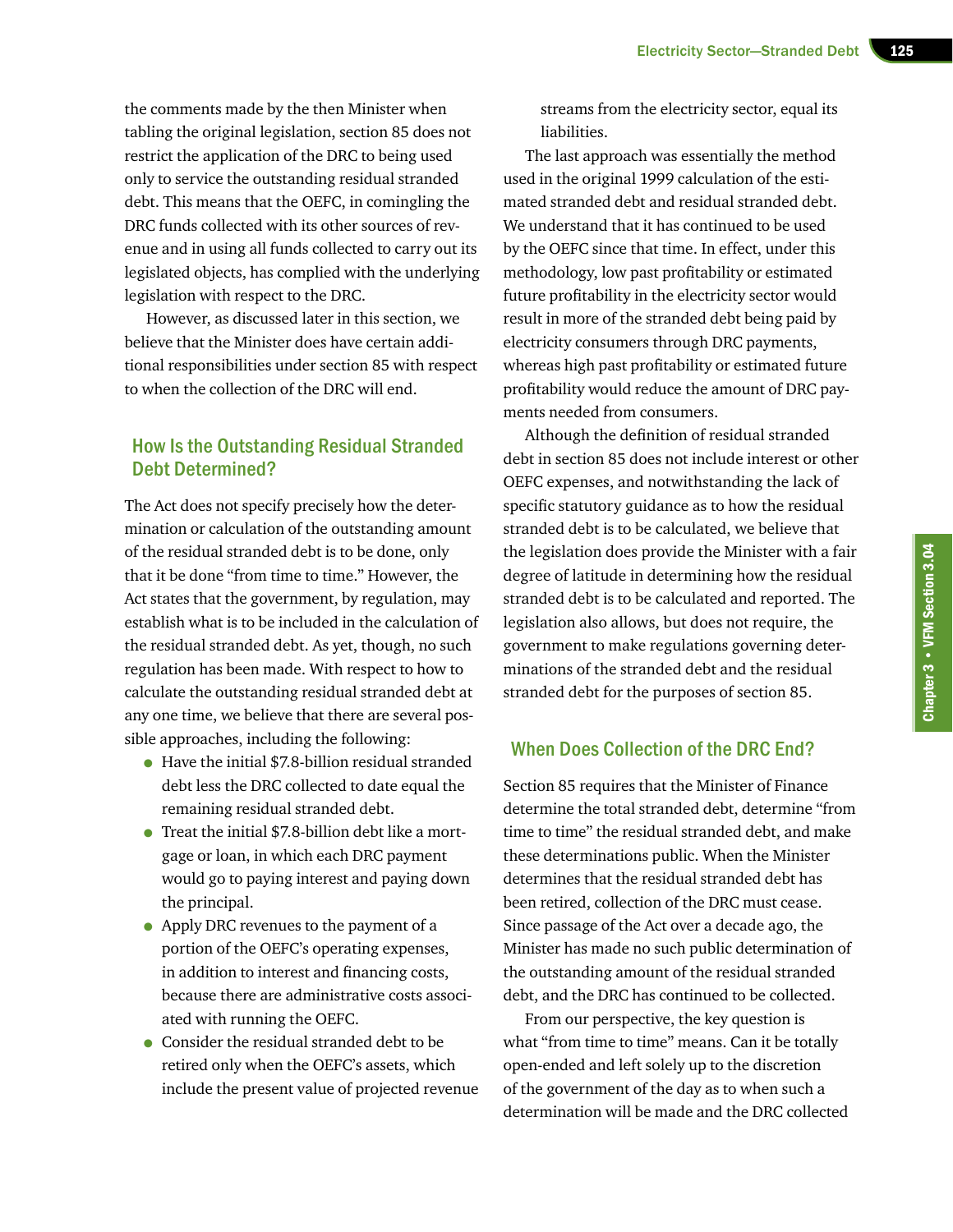the comments made by the then Minister when tabling the original legislation, section 85 does not restrict the application of the DRC to being used only to service the outstanding residual stranded debt. This means that the OEFC, in comingling the DRC funds collected with its other sources of revenue and in using all funds collected to carry out its legislated objects, has complied with the underlying legislation with respect to the DRC.

However, as discussed later in this section, we believe that the Minister does have certain additional responsibilities under section 85 with respect to when the collection of the DRC will end.

## How Is the Outstanding Residual Stranded Debt Determined?

The Act does not specify precisely how the determination or calculation of the outstanding amount of the residual stranded debt is to be done, only that it be done "from time to time." However, the Act states that the government, by regulation, may establish what is to be included in the calculation of the residual stranded debt. As yet, though, no such regulation has been made. With respect to how to calculate the outstanding residual stranded debt at any one time, we believe that there are several possible approaches, including the following:

- Have the initial \$7.8-billion residual stranded debt less the DRC collected to date equal the remaining residual stranded debt.
- Treat the initial \$7.8-billion debt like a mortgage or loan, in which each DRC payment would go to paying interest and paying down the principal.
- Apply DRC revenues to the payment of a portion of the OEFC's operating expenses, in addition to interest and financing costs, because there are administrative costs associated with running the OEFC.
- Consider the residual stranded debt to be retired only when the OEFC's assets, which include the present value of projected revenue

streams from the electricity sector, equal its liabilities.

The last approach was essentially the method used in the original 1999 calculation of the estimated stranded debt and residual stranded debt. We understand that it has continued to be used by the OEFC since that time. In effect, under this methodology, low past profitability or estimated future profitability in the electricity sector would result in more of the stranded debt being paid by electricity consumers through DRC payments, whereas high past profitability or estimated future profitability would reduce the amount of DRC payments needed from consumers.

Although the definition of residual stranded debt in section 85 does not include interest or other OEFC expenses, and notwithstanding the lack of specific statutory guidance as to how the residual stranded debt is to be calculated, we believe that the legislation does provide the Minister with a fair degree of latitude in determining how the residual stranded debt is to be calculated and reported. The legislation also allows, but does not require, the government to make regulations governing determinations of the stranded debt and the residual stranded debt for the purposes of section 85.

## When Does Collection of the DRC End?

Section 85 requires that the Minister of Finance determine the total stranded debt, determine "from time to time" the residual stranded debt, and make these determinations public. When the Minister determines that the residual stranded debt has been retired, collection of the DRC must cease. Since passage of the Act over a decade ago, the Minister has made no such public determination of the outstanding amount of the residual stranded debt, and the DRC has continued to be collected.

From our perspective, the key question is what "from time to time" means. Can it be totally open-ended and left solely up to the discretion of the government of the day as to when such a determination will be made and the DRC collected